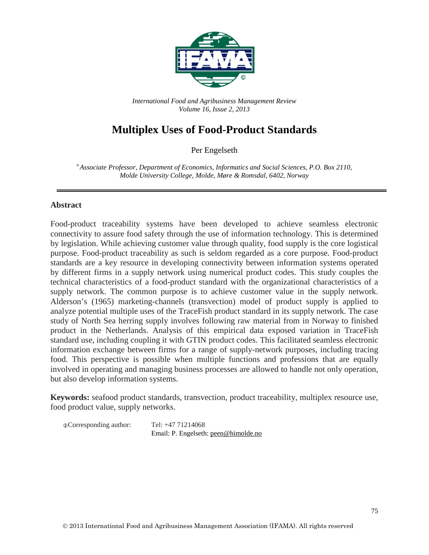

*International Food and Agribusiness Management Review Volume 16, Issue 2, 2013*

# **Multiplex Uses of Food-Product Standards**

Per Engelseth

a *Associate Professor, Department of Economics, Informatics and Social Sciences, P.O. Box 2110, Molde University College, Molde, Møre & Romsdal, 6402, Norway*

#### **Abstract**

Food-product traceability systems have been developed to achieve seamless electronic connectivity to assure food safety through the use of information technology. This is determined by legislation. While achieving customer value through quality, food supply is the core logistical purpose. Food-product traceability as such is seldom regarded as a core purpose. Food-product standards are a key resource in developing connectivity between information systems operated by different firms in a supply network using numerical product codes. This study couples the technical characteristics of a food-product standard with the organizational characteristics of a supply network. The common purpose is to achieve customer value in the supply network. Alderson's (1965) marketing-channels (transvection) model of product supply is applied to analyze potential multiple uses of the TraceFish product standard in its supply network. The case study of North Sea herring supply involves following raw material from in Norway to finished product in the Netherlands. Analysis of this empirical data exposed variation in TraceFish standard use, including coupling it with GTIN product codes. This facilitated seamless electronic information exchange between firms for a range of supply-network purposes, including tracing food. This perspective is possible when multiple functions and professions that are equally involved in operating and managing business processes are allowed to handle not only operation, but also develop information systems.

**Keywords:** seafood product standards, transvection, product traceability, multiplex resource use, food product value, supply networks.

| <b>©Corresponding author:</b> | Tel: $+4771214068$                   |
|-------------------------------|--------------------------------------|
|                               | Email: P. Engelseth: peen@himolde.no |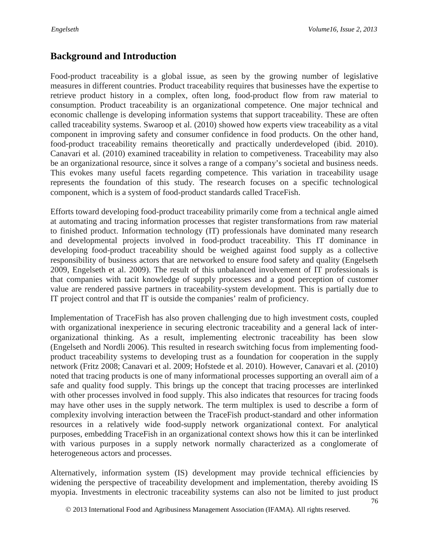## **Background and Introduction**

Food-product traceability is a global issue, as seen by the growing number of legislative measures in different countries. Product traceability requires that businesses have the expertise to retrieve product history in a complex, often long, food-product flow from raw material to consumption. Product traceability is an organizational competence. One major technical and economic challenge is developing information systems that support traceability. These are often called traceability systems. Swaroop et al. (2010) showed how experts view traceability as a vital component in improving safety and consumer confidence in food products. On the other hand, food-product traceability remains theoretically and practically underdeveloped (ibid. 2010). Canavari et al. (2010) examined traceability in relation to competiveness. Traceability may also be an organizational resource, since it solves a range of a company's societal and business needs. This evokes many useful facets regarding competence. This variation in traceability usage represents the foundation of this study. The research focuses on a specific technological component, which is a system of food-product standards called TraceFish.

Efforts toward developing food-product traceability primarily come from a technical angle aimed at automating and tracing information processes that register transformations from raw material to finished product. Information technology (IT) professionals have dominated many research and developmental projects involved in food-product traceability. This IT dominance in developing food-product traceability should be weighed against food supply as a collective responsibility of business actors that are networked to ensure food safety and quality (Engelseth 2009, Engelseth et al. 2009). The result of this unbalanced involvement of IT professionals is that companies with tacit knowledge of supply processes and a good perception of customer value are rendered passive partners in traceability-system development. This is partially due to IT project control and that IT is outside the companies' realm of proficiency.

Implementation of TraceFish has also proven challenging due to high investment costs, coupled with organizational inexperience in securing electronic traceability and a general lack of interorganizational thinking. As a result, implementing electronic traceability has been slow (Engelseth and Nordli 2006). This resulted in research switching focus from implementing foodproduct traceability systems to developing trust as a foundation for cooperation in the supply network (Fritz 2008; Canavari et al. 2009; Hofstede et al. 2010). However, Canavari et al. (2010) noted that tracing products is one of many informational processes supporting an overall aim of a safe and quality food supply. This brings up the concept that tracing processes are interlinked with other processes involved in food supply. This also indicates that resources for tracing foods may have other uses in the supply network. The term multiplex is used to describe a form of complexity involving interaction between the TraceFish product-standard and other information resources in a relatively wide food-supply network organizational context. For analytical purposes, embedding TraceFish in an organizational context shows how this it can be interlinked with various purposes in a supply network normally characterized as a conglomerate of heterogeneous actors and processes.

Alternatively, information system (IS) development may provide technical efficiencies by widening the perspective of traceability development and implementation, thereby avoiding IS myopia. Investments in electronic traceability systems can also not be limited to just product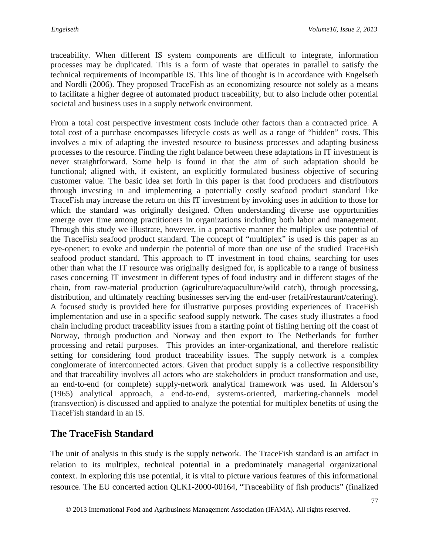traceability. When different IS system components are difficult to integrate, information processes may be duplicated. This is a form of waste that operates in parallel to satisfy the technical requirements of incompatible IS. This line of thought is in accordance with Engelseth and Nordli (2006). They proposed TraceFish as an economizing resource not solely as a means to facilitate a higher degree of automated product traceability, but to also include other potential societal and business uses in a supply network environment.

From a total cost perspective investment costs include other factors than a contracted price. A total cost of a purchase encompasses lifecycle costs as well as a range of "hidden" costs. This involves a mix of adapting the invested resource to business processes and adapting business processes to the resource. Finding the right balance between these adaptations in IT investment is never straightforward. Some help is found in that the aim of such adaptation should be functional; aligned with, if existent, an explicitly formulated business objective of securing customer value. The basic idea set forth in this paper is that food producers and distributors through investing in and implementing a potentially costly seafood product standard like TraceFish may increase the return on this IT investment by invoking uses in addition to those for which the standard was originally designed. Often understanding diverse use opportunities emerge over time among practitioners in organizations including both labor and management. Through this study we illustrate, however, in a proactive manner the multiplex use potential of the TraceFish seafood product standard. The concept of "multiplex" is used is this paper as an eye-opener; to evoke and underpin the potential of more than one use of the studied TraceFish seafood product standard. This approach to IT investment in food chains, searching for uses other than what the IT resource was originally designed for, is applicable to a range of business cases concerning IT investment in different types of food industry and in different stages of the chain, from raw-material production (agriculture/aquaculture/wild catch), through processing, distribution, and ultimately reaching businesses serving the end-user (retail/restaurant/catering). A focused study is provided here for illustrative purposes providing experiences of TraceFish implementation and use in a specific seafood supply network. The cases study illustrates a food chain including product traceability issues from a starting point of fishing herring off the coast of Norway, through production and Norway and then export to The Netherlands for further processing and retail purposes. This provides an inter-organizational, and therefore realistic setting for considering food product traceability issues. The supply network is a complex conglomerate of interconnected actors. Given that product supply is a collective responsibility and that traceability involves all actors who are stakeholders in product transformation and use, an end-to-end (or complete) supply-network analytical framework was used. In Alderson's (1965) analytical approach, a end-to-end, systems-oriented, marketing-channels model (transvection) is discussed and applied to analyze the potential for multiplex benefits of using the TraceFish standard in an IS.

# **The TraceFish Standard**

The unit of analysis in this study is the supply network. The TraceFish standard is an artifact in relation to its multiplex, technical potential in a predominately managerial organizational context. In exploring this use potential, it is vital to picture various features of this informational resource. The EU concerted action QLK1-2000-00164, "Traceability of fish products" (finalized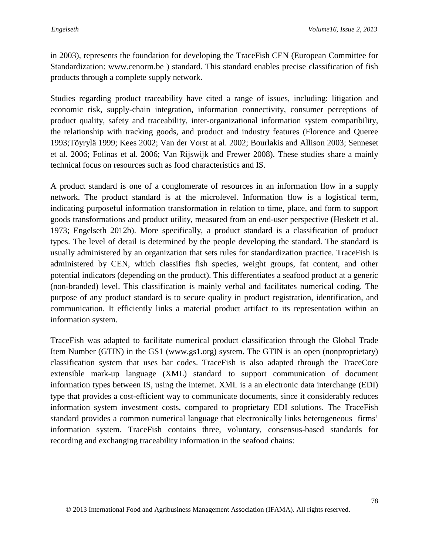in 2003), represents the foundation for developing the TraceFish CEN (European Committee for Standardization: www.cenorm.be ) standard. This standard enables precise classification of fish products through a complete supply network.

Studies regarding product traceability have cited a range of issues, including: litigation and economic risk, supply-chain integration, information connectivity, consumer perceptions of product quality, safety and traceability, inter-organizational information system compatibility, the relationship with tracking goods, and product and industry features (Florence and Queree 1993;Töyrylä 1999; Kees 2002; Van der Vorst at al. 2002; Bourlakis and Allison 2003; Senneset et al. 2006; Folinas et al. 2006; Van Rijswijk and Frewer 2008). These studies share a mainly technical focus on resources such as food characteristics and IS.

A product standard is one of a conglomerate of resources in an information flow in a supply network. The product standard is at the microlevel. Information flow is a logistical term, indicating purposeful information transformation in relation to time, place, and form to support goods transformations and product utility, measured from an end-user perspective (Heskett et al. 1973; Engelseth 2012b). More specifically, a product standard is a classification of product types. The level of detail is determined by the people developing the standard. The standard is usually administered by an organization that sets rules for standardization practice. TraceFish is administered by CEN, which classifies fish species, weight groups, fat content, and other potential indicators (depending on the product). This differentiates a seafood product at a generic (non-branded) level. This classification is mainly verbal and facilitates numerical coding. The purpose of any product standard is to secure quality in product registration, identification, and communication. It efficiently links a material product artifact to its representation within an information system.

TraceFish was adapted to facilitate numerical product classification through the Global Trade Item Number (GTIN) in the GS1 (www.gs1.org) system. The GTIN is an open (nonproprietary) classification system that uses bar codes. TraceFish is also adapted through the TraceCore extensible mark-up language (XML) standard to support communication of document information types between IS, using the internet. XML is a an electronic data interchange (EDI) type that provides a cost-efficient way to communicate documents, since it considerably reduces information system investment costs, compared to proprietary EDI solutions. The TraceFish standard provides a common numerical language that electronically links heterogeneous firms' information system. TraceFish contains three, voluntary, consensus-based standards for recording and exchanging traceability information in the seafood chains: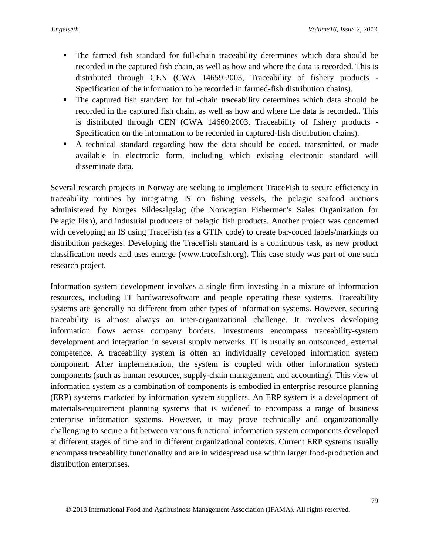- The farmed fish standard for full-chain traceability determines which data should be recorded in the captured fish chain, as well as how and where the data is recorded. This is distributed through CEN (CWA 14659:2003, Traceability of fishery products - Specification of the information to be recorded in farmed-fish distribution chains).
- The captured fish standard for full-chain traceability determines which data should be recorded in the captured fish chain, as well as how and where the data is recorded.. This is distributed through CEN (CWA 14660:2003, Traceability of fishery products - Specification on the information to be recorded in captured-fish distribution chains).
- A technical standard regarding how the data should be coded, transmitted, or made available in electronic form, including which existing electronic standard will disseminate data.

Several research projects in Norway are seeking to implement TraceFish to secure efficiency in traceability routines by integrating IS on fishing vessels, the pelagic seafood auctions administered by Norges Sildesalgslag (the Norwegian Fishermen's Sales Organization for Pelagic Fish), and industrial producers of pelagic fish products. Another project was concerned with developing an IS using TraceFish (as a GTIN code) to create bar-coded labels/markings on distribution packages. Developing the TraceFish standard is a continuous task, as new product classification needs and uses emerge (www.tracefish.org). This case study was part of one such research project.

Information system development involves a single firm investing in a mixture of information resources, including IT hardware/software and people operating these systems. Traceability systems are generally no different from other types of information systems. However, securing traceability is almost always an inter-organizational challenge. It involves developing information flows across company borders. Investments encompass traceability-system development and integration in several supply networks. IT is usually an outsourced, external competence. A traceability system is often an individually developed information system component. After implementation, the system is coupled with other information system components (such as human resources, supply-chain management, and accounting). This view of information system as a combination of components is embodied in enterprise resource planning (ERP) systems marketed by information system suppliers. An ERP system is a development of materials-requirement planning systems that is widened to encompass a range of business enterprise information systems. However, it may prove technically and organizationally challenging to secure a fit between various functional information system components developed at different stages of time and in different organizational contexts. Current ERP systems usually encompass traceability functionality and are in widespread use within larger food-production and distribution enterprises.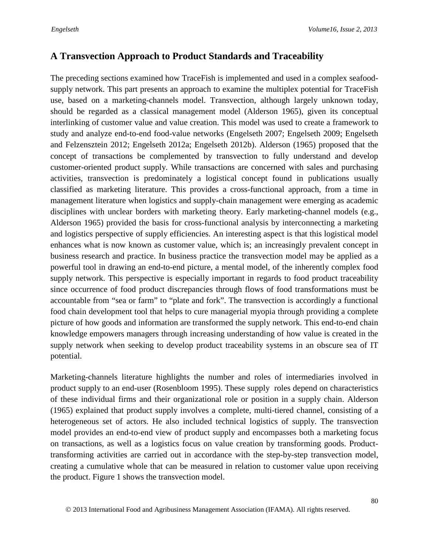### **A Transvection Approach to Product Standards and Traceability**

The preceding sections examined how TraceFish is implemented and used in a complex seafoodsupply network. This part presents an approach to examine the multiplex potential for TraceFish use, based on a marketing-channels model. Transvection, although largely unknown today, should be regarded as a classical management model (Alderson 1965), given its conceptual interlinking of customer value and value creation. This model was used to create a framework to study and analyze end-to-end food-value networks (Engelseth 2007; Engelseth 2009; Engelseth and Felzensztein 2012; Engelseth 2012a; Engelseth 2012b). Alderson (1965) proposed that the concept of transactions be complemented by transvection to fully understand and develop customer-oriented product supply. While transactions are concerned with sales and purchasing activities, transvection is predominately a logistical concept found in publications usually classified as marketing literature. This provides a cross-functional approach, from a time in management literature when logistics and supply-chain management were emerging as academic disciplines with unclear borders with marketing theory. Early marketing-channel models (e.g., Alderson 1965) provided the basis for cross-functional analysis by interconnecting a marketing and logistics perspective of supply efficiencies. An interesting aspect is that this logistical model enhances what is now known as customer value, which is; an increasingly prevalent concept in business research and practice. In business practice the transvection model may be applied as a powerful tool in drawing an end-to-end picture, a mental model, of the inherently complex food supply network. This perspective is especially important in regards to food product traceability since occurrence of food product discrepancies through flows of food transformations must be accountable from "sea or farm" to "plate and fork". The transvection is accordingly a functional food chain development tool that helps to cure managerial myopia through providing a complete picture of how goods and information are transformed the supply network. This end-to-end chain knowledge empowers managers through increasing understanding of how value is created in the supply network when seeking to develop product traceability systems in an obscure sea of IT potential.

Marketing-channels literature highlights the number and roles of intermediaries involved in product supply to an end-user (Rosenbloom 1995). These supply roles depend on characteristics of these individual firms and their organizational role or position in a supply chain. Alderson (1965) explained that product supply involves a complete, multi-tiered channel, consisting of a heterogeneous set of actors. He also included technical logistics of supply. The transvection model provides an end-to-end view of product supply and encompasses both a marketing focus on transactions, as well as a logistics focus on value creation by transforming goods. Producttransforming activities are carried out in accordance with the step-by-step transvection model, creating a cumulative whole that can be measured in relation to customer value upon receiving the product. Figure 1 shows the transvection model.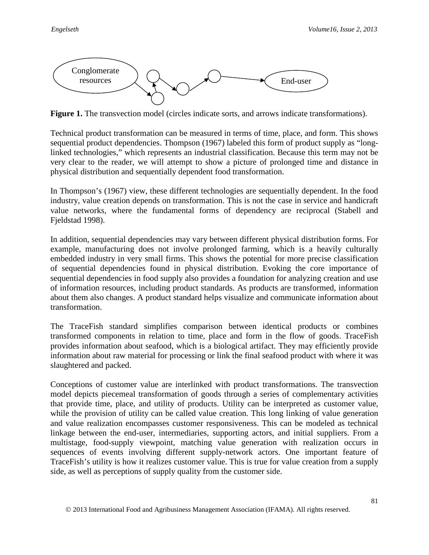

**Figure 1.** The transvection model (circles indicate sorts, and arrows indicate transformations).

Technical product transformation can be measured in terms of time, place, and form. This shows sequential product dependencies. Thompson (1967) labeled this form of product supply as "longlinked technologies," which represents an industrial classification. Because this term may not be very clear to the reader, we will attempt to show a picture of prolonged time and distance in physical distribution and sequentially dependent food transformation.

In Thompson's (1967) view, these different technologies are sequentially dependent. In the food industry, value creation depends on transformation. This is not the case in service and handicraft value networks, where the fundamental forms of dependency are reciprocal (Stabell and Fjeldstad 1998).

In addition, sequential dependencies may vary between different physical distribution forms. For example, manufacturing does not involve prolonged farming, which is a heavily culturally embedded industry in very small firms. This shows the potential for more precise classification of sequential dependencies found in physical distribution. Evoking the core importance of sequential dependencies in food supply also provides a foundation for analyzing creation and use of information resources, including product standards. As products are transformed, information about them also changes. A product standard helps visualize and communicate information about transformation.

The TraceFish standard simplifies comparison between identical products or combines transformed components in relation to time, place and form in the flow of goods. TraceFish provides information about seafood, which is a biological artifact. They may efficiently provide information about raw material for processing or link the final seafood product with where it was slaughtered and packed.

Conceptions of customer value are interlinked with product transformations. The transvection model depicts piecemeal transformation of goods through a series of complementary activities that provide time, place, and utility of products. Utility can be interpreted as customer value, while the provision of utility can be called value creation. This long linking of value generation and value realization encompasses customer responsiveness. This can be modeled as technical linkage between the end-user, intermediaries, supporting actors, and initial suppliers. From a multistage, food-supply viewpoint, matching value generation with realization occurs in sequences of events involving different supply-network actors. One important feature of TraceFish's utility is how it realizes customer value. This is true for value creation from a supply side, as well as perceptions of supply quality from the customer side.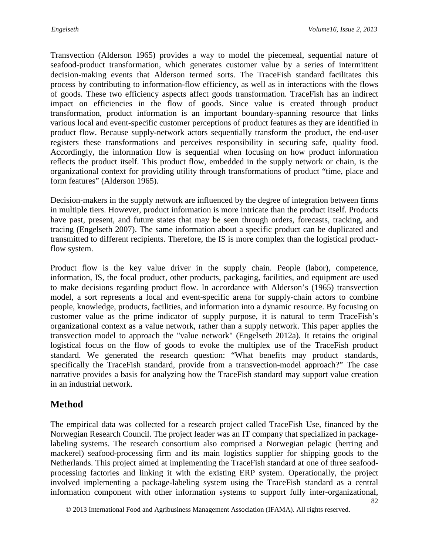Transvection (Alderson 1965) provides a way to model the piecemeal, sequential nature of seafood-product transformation, which generates customer value by a series of intermittent decision-making events that Alderson termed sorts. The TraceFish standard facilitates this process by contributing to information-flow efficiency, as well as in interactions with the flows of goods. These two efficiency aspects affect goods transformation. TraceFish has an indirect impact on efficiencies in the flow of goods. Since value is created through product transformation, product information is an important boundary-spanning resource that links various local and event-specific customer perceptions of product features as they are identified in product flow. Because supply-network actors sequentially transform the product, the end-user registers these transformations and perceives responsibility in securing safe, quality food. Accordingly, the information flow is sequential when focusing on how product information reflects the product itself. This product flow, embedded in the supply network or chain, is the organizational context for providing utility through transformations of product "time, place and form features" (Alderson 1965).

Decision-makers in the supply network are influenced by the degree of integration between firms in multiple tiers. However, product information is more intricate than the product itself. Products have past, present, and future states that may be seen through orders, forecasts, tracking, and tracing (Engelseth 2007). The same information about a specific product can be duplicated and transmitted to different recipients. Therefore, the IS is more complex than the logistical productflow system.

Product flow is the key value driver in the supply chain. People (labor), competence, information, IS, the focal product, other products, packaging, facilities, and equipment are used to make decisions regarding product flow. In accordance with Alderson's (1965) transvection model, a sort represents a local and event-specific arena for supply-chain actors to combine people, knowledge, products, facilities, and information into a dynamic resource. By focusing on customer value as the prime indicator of supply purpose, it is natural to term TraceFish's organizational context as a value network, rather than a supply network. This paper applies the transvection model to approach the "value network" (Engelseth 2012a). It retains the original logistical focus on the flow of goods to evoke the multiplex use of the TraceFish product standard. We generated the research question: "What benefits may product standards, specifically the TraceFish standard, provide from a transvection-model approach?" The case narrative provides a basis for analyzing how the TraceFish standard may support value creation in an industrial network.

# **Method**

The empirical data was collected for a research project called TraceFish Use, financed by the Norwegian Research Council. The project leader was an IT company that specialized in packagelabeling systems. The research consortium also comprised a Norwegian pelagic (herring and mackerel) seafood-processing firm and its main logistics supplier for shipping goods to the Netherlands. This project aimed at implementing the TraceFish standard at one of three seafoodprocessing factories and linking it with the existing ERP system. Operationally, the project involved implementing a package-labeling system using the TraceFish standard as a central information component with other information systems to support fully inter-organizational,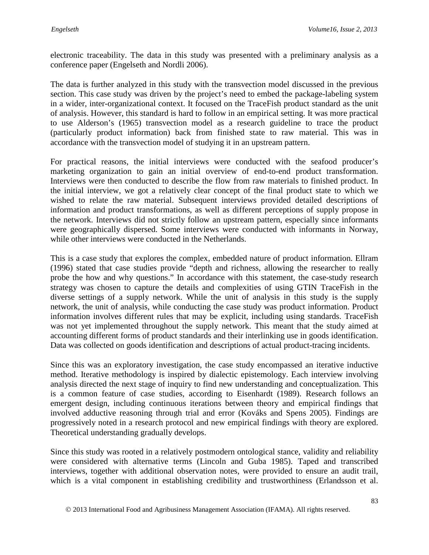electronic traceability. The data in this study was presented with a preliminary analysis as a conference paper (Engelseth and Nordli 2006).

The data is further analyzed in this study with the transvection model discussed in the previous section. This case study was driven by the project's need to embed the package-labeling system in a wider, inter-organizational context. It focused on the TraceFish product standard as the unit of analysis. However, this standard is hard to follow in an empirical setting. It was more practical to use Alderson's (1965) transvection model as a research guideline to trace the product (particularly product information) back from finished state to raw material. This was in accordance with the transvection model of studying it in an upstream pattern.

For practical reasons, the initial interviews were conducted with the seafood producer's marketing organization to gain an initial overview of end-to-end product transformation. Interviews were then conducted to describe the flow from raw materials to finished product. In the initial interview, we got a relatively clear concept of the final product state to which we wished to relate the raw material. Subsequent interviews provided detailed descriptions of information and product transformations, as well as different perceptions of supply propose in the network. Interviews did not strictly follow an upstream pattern, especially since informants were geographically dispersed. Some interviews were conducted with informants in Norway, while other interviews were conducted in the Netherlands.

This is a case study that explores the complex, embedded nature of product information. Ellram (1996) stated that case studies provide "depth and richness, allowing the researcher to really probe the how and why questions." In accordance with this statement, the case-study research strategy was chosen to capture the details and complexities of using GTIN TraceFish in the diverse settings of a supply network. While the unit of analysis in this study is the supply network, the unit of analysis, while conducting the case study was product information. Product information involves different rules that may be explicit, including using standards. TraceFish was not yet implemented throughout the supply network. This meant that the study aimed at accounting different forms of product standards and their interlinking use in goods identification. Data was collected on goods identification and descriptions of actual product-tracing incidents.

Since this was an exploratory investigation, the case study encompassed an iterative inductive method. Iterative methodology is inspired by dialectic epistemology. Each interview involving analysis directed the next stage of inquiry to find new understanding and conceptualization. This is a common feature of case studies, according to Eisenhardt (1989). Research follows an emergent design, including continuous iterations between theory and empirical findings that involved adductive reasoning through trial and error (Kováks and Spens 2005). Findings are progressively noted in a research protocol and new empirical findings with theory are explored. Theoretical understanding gradually develops.

Since this study was rooted in a relatively postmodern ontological stance, validity and reliability were considered with alternative terms (Lincoln and Guba 1985). Taped and transcribed interviews, together with additional observation notes, were provided to ensure an audit trail, which is a vital component in establishing credibility and trustworthiness (Erlandsson et al.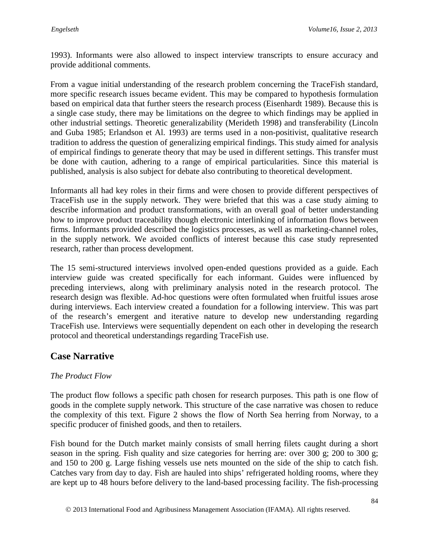1993). Informants were also allowed to inspect interview transcripts to ensure accuracy and provide additional comments.

From a vague initial understanding of the research problem concerning the TraceFish standard, more specific research issues became evident. This may be compared to hypothesis formulation based on empirical data that further steers the research process (Eisenhardt 1989). Because this is a single case study, there may be limitations on the degree to which findings may be applied in other industrial settings. Theoretic generalizability (Merideth 1998) and transferability (Lincoln and Guba 1985; Erlandson et Al. 1993) are terms used in a non-positivist, qualitative research tradition to address the question of generalizing empirical findings. This study aimed for analysis of empirical findings to generate theory that may be used in different settings. This transfer must be done with caution, adhering to a range of empirical particularities. Since this material is published, analysis is also subject for debate also contributing to theoretical development.

Informants all had key roles in their firms and were chosen to provide different perspectives of TraceFish use in the supply network. They were briefed that this was a case study aiming to describe information and product transformations, with an overall goal of better understanding how to improve product traceability though electronic interlinking of information flows between firms. Informants provided described the logistics processes, as well as marketing-channel roles, in the supply network. We avoided conflicts of interest because this case study represented research, rather than process development.

The 15 semi-structured interviews involved open-ended questions provided as a guide. Each interview guide was created specifically for each informant. Guides were influenced by preceding interviews, along with preliminary analysis noted in the research protocol. The research design was flexible. Ad-hoc questions were often formulated when fruitful issues arose during interviews. Each interview created a foundation for a following interview. This was part of the research's emergent and iterative nature to develop new understanding regarding TraceFish use. Interviews were sequentially dependent on each other in developing the research protocol and theoretical understandings regarding TraceFish use.

### **Case Narrative**

#### *The Product Flow*

The product flow follows a specific path chosen for research purposes. This path is one flow of goods in the complete supply network. This structure of the case narrative was chosen to reduce the complexity of this text. Figure 2 shows the flow of North Sea herring from Norway, to a specific producer of finished goods, and then to retailers.

Fish bound for the Dutch market mainly consists of small herring filets caught during a short season in the spring. Fish quality and size categories for herring are: over 300 g; 200 to 300 g; and 150 to 200 g. Large fishing vessels use nets mounted on the side of the ship to catch fish. Catches vary from day to day. Fish are hauled into ships' refrigerated holding rooms, where they are kept up to 48 hours before delivery to the land-based processing facility. The fish-processing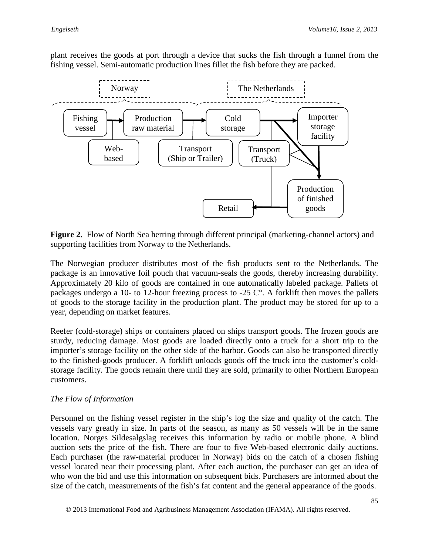plant receives the goods at port through a device that sucks the fish through a funnel from the fishing vessel. Semi-automatic production lines fillet the fish before they are packed.



**Figure 2.** Flow of North Sea herring through different principal (marketing-channel actors) and supporting facilities from Norway to the Netherlands.

The Norwegian producer distributes most of the fish products sent to the Netherlands. The package is an innovative foil pouch that vacuum-seals the goods, thereby increasing durability. Approximately 20 kilo of goods are contained in one automatically labeled package. Pallets of packages undergo a 10- to 12-hour freezing process to -25 C°. A forklift then moves the pallets of goods to the storage facility in the production plant. The product may be stored for up to a year, depending on market features.

Reefer (cold-storage) ships or containers placed on ships transport goods. The frozen goods are sturdy, reducing damage. Most goods are loaded directly onto a truck for a short trip to the importer's storage facility on the other side of the harbor. Goods can also be transported directly to the finished-goods producer. A forklift unloads goods off the truck into the customer's coldstorage facility. The goods remain there until they are sold, primarily to other Northern European customers.

#### *The Flow of Information*

Personnel on the fishing vessel register in the ship's log the size and quality of the catch. The vessels vary greatly in size. In parts of the season, as many as 50 vessels will be in the same location. Norges Sildesalgslag receives this information by radio or mobile phone. A blind auction sets the price of the fish. There are four to five Web-based electronic daily auctions. Each purchaser (the raw-material producer in Norway) bids on the catch of a chosen fishing vessel located near their processing plant. After each auction, the purchaser can get an idea of who won the bid and use this information on subsequent bids. Purchasers are informed about the size of the catch, measurements of the fish's fat content and the general appearance of the goods.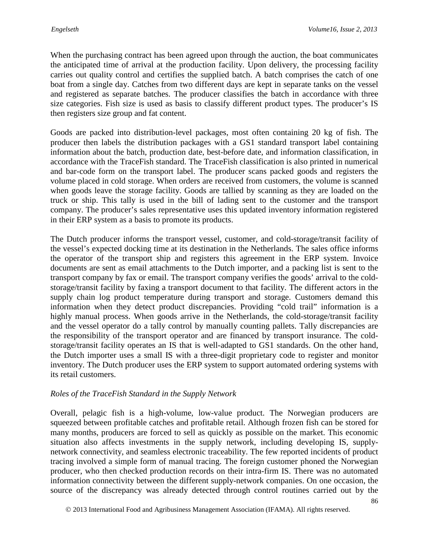When the purchasing contract has been agreed upon through the auction, the boat communicates the anticipated time of arrival at the production facility. Upon delivery, the processing facility carries out quality control and certifies the supplied batch. A batch comprises the catch of one boat from a single day. Catches from two different days are kept in separate tanks on the vessel and registered as separate batches. The producer classifies the batch in accordance with three size categories. Fish size is used as basis to classify different product types. The producer's IS then registers size group and fat content.

Goods are packed into distribution-level packages, most often containing 20 kg of fish. The producer then labels the distribution packages with a GS1 standard transport label containing information about the batch, production date, best-before date, and information classification, in accordance with the TraceFish standard. The TraceFish classification is also printed in numerical and bar-code form on the transport label. The producer scans packed goods and registers the volume placed in cold storage. When orders are received from customers, the volume is scanned when goods leave the storage facility. Goods are tallied by scanning as they are loaded on the truck or ship. This tally is used in the bill of lading sent to the customer and the transport company. The producer's sales representative uses this updated inventory information registered in their ERP system as a basis to promote its products.

The Dutch producer informs the transport vessel, customer, and cold-storage/transit facility of the vessel's expected docking time at its destination in the Netherlands. The sales office informs the operator of the transport ship and registers this agreement in the ERP system. Invoice documents are sent as email attachments to the Dutch importer, and a packing list is sent to the transport company by fax or email. The transport company verifies the goods' arrival to the coldstorage/transit facility by faxing a transport document to that facility. The different actors in the supply chain log product temperature during transport and storage. Customers demand this information when they detect product discrepancies. Providing "cold trail" information is a highly manual process. When goods arrive in the Netherlands, the cold-storage/transit facility and the vessel operator do a tally control by manually counting pallets. Tally discrepancies are the responsibility of the transport operator and are financed by transport insurance. The coldstorage/transit facility operates an IS that is well-adapted to GS1 standards. On the other hand, the Dutch importer uses a small IS with a three-digit proprietary code to register and monitor inventory. The Dutch producer uses the ERP system to support automated ordering systems with its retail customers.

#### *Roles of the TraceFish Standard in the Supply Network*

Overall, pelagic fish is a high-volume, low-value product. The Norwegian producers are squeezed between profitable catches and profitable retail. Although frozen fish can be stored for many months, producers are forced to sell as quickly as possible on the market. This economic situation also affects investments in the supply network, including developing IS, supplynetwork connectivity, and seamless electronic traceability. The few reported incidents of product tracing involved a simple form of manual tracing. The foreign customer phoned the Norwegian producer, who then checked production records on their intra-firm IS. There was no automated information connectivity between the different supply-network companies. On one occasion, the source of the discrepancy was already detected through control routines carried out by the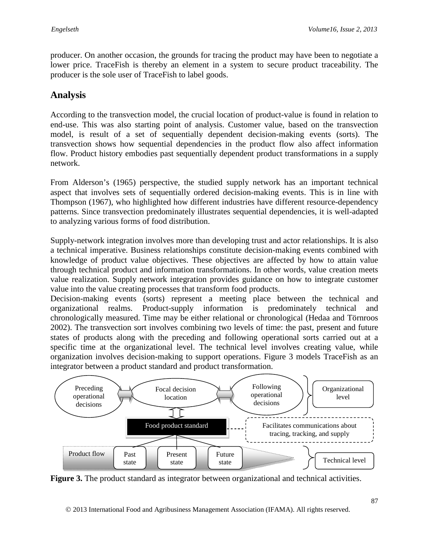producer. On another occasion, the grounds for tracing the product may have been to negotiate a lower price. TraceFish is thereby an element in a system to secure product traceability. The producer is the sole user of TraceFish to label goods.

# **Analysis**

According to the transvection model, the crucial location of product-value is found in relation to end-use. This was also starting point of analysis. Customer value, based on the transvection model, is result of a set of sequentially dependent decision-making events (sorts). The transvection shows how sequential dependencies in the product flow also affect information flow. Product history embodies past sequentially dependent product transformations in a supply network.

From Alderson's (1965) perspective, the studied supply network has an important technical aspect that involves sets of sequentially ordered decision-making events. This is in line with Thompson (1967), who highlighted how different industries have different resource-dependency patterns. Since transvection predominately illustrates sequential dependencies, it is well-adapted to analyzing various forms of food distribution.

Supply-network integration involves more than developing trust and actor relationships. It is also a technical imperative. Business relationships constitute decision-making events combined with knowledge of product value objectives. These objectives are affected by how to attain value through technical product and information transformations. In other words, value creation meets value realization. Supply network integration provides guidance on how to integrate customer value into the value creating processes that transform food products.

Decision-making events (sorts) represent a meeting place between the technical and organizational realms. Product-supply information is predominately technical and chronologically measured. Time may be either relational or chronological (Hedaa and Törnroos 2002). The transvection sort involves combining two levels of time: the past, present and future states of products along with the preceding and following operational sorts carried out at a specific time at the organizational level. The technical level involves creating value, while organization involves decision-making to support operations. Figure 3 models TraceFish as an integrator between a product standard and product transformation.



**Figure 3.** The product standard as integrator between organizational and technical activities.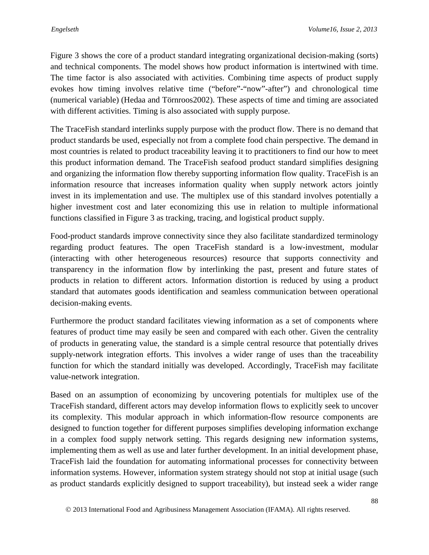Figure 3 shows the core of a product standard integrating organizational decision-making (sorts) and technical components. The model shows how product information is intertwined with time. The time factor is also associated with activities. Combining time aspects of product supply evokes how timing involves relative time ("before"-"now"-after") and chronological time (numerical variable) (Hedaa and Törnroos2002). These aspects of time and timing are associated with different activities. Timing is also associated with supply purpose.

The TraceFish standard interlinks supply purpose with the product flow. There is no demand that product standards be used, especially not from a complete food chain perspective. The demand in most countries is related to product traceability leaving it to practitioners to find our how to meet this product information demand. The TraceFish seafood product standard simplifies designing and organizing the information flow thereby supporting information flow quality. TraceFish is an information resource that increases information quality when supply network actors jointly invest in its implementation and use. The multiplex use of this standard involves potentially a higher investment cost and later economizing this use in relation to multiple informational functions classified in Figure 3 as tracking, tracing, and logistical product supply.

Food-product standards improve connectivity since they also facilitate standardized terminology regarding product features. The open TraceFish standard is a low-investment, modular (interacting with other heterogeneous resources) resource that supports connectivity and transparency in the information flow by interlinking the past, present and future states of products in relation to different actors. Information distortion is reduced by using a product standard that automates goods identification and seamless communication between operational decision-making events.

Furthermore the product standard facilitates viewing information as a set of components where features of product time may easily be seen and compared with each other. Given the centrality of products in generating value, the standard is a simple central resource that potentially drives supply-network integration efforts. This involves a wider range of uses than the traceability function for which the standard initially was developed. Accordingly, TraceFish may facilitate value-network integration.

Based on an assumption of economizing by uncovering potentials for multiplex use of the TraceFish standard, different actors may develop information flows to explicitly seek to uncover its complexity. This modular approach in which information-flow resource components are designed to function together for different purposes simplifies developing information exchange in a complex food supply network setting. This regards designing new information systems, implementing them as well as use and later further development. In an initial development phase, TraceFish laid the foundation for automating informational processes for connectivity between information systems. However, information system strategy should not stop at initial usage (such as product standards explicitly designed to support traceability), but instead seek a wider range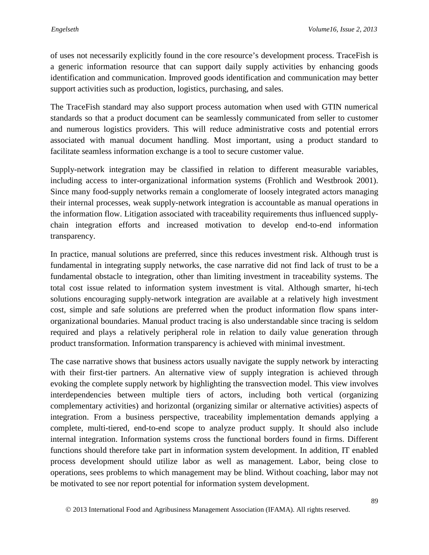of uses not necessarily explicitly found in the core resource's development process. TraceFish is a generic information resource that can support daily supply activities by enhancing goods identification and communication. Improved goods identification and communication may better support activities such as production, logistics, purchasing, and sales.

The TraceFish standard may also support process automation when used with GTIN numerical standards so that a product document can be seamlessly communicated from seller to customer and numerous logistics providers. This will reduce administrative costs and potential errors associated with manual document handling. Most important, using a product standard to facilitate seamless information exchange is a tool to secure customer value.

Supply-network integration may be classified in relation to different measurable variables, including access to inter-organizational information systems (Frohlich and Westbrook 2001). Since many food-supply networks remain a conglomerate of loosely integrated actors managing their internal processes, weak supply-network integration is accountable as manual operations in the information flow. Litigation associated with traceability requirements thus influenced supplychain integration efforts and increased motivation to develop end-to-end information transparency.

In practice, manual solutions are preferred, since this reduces investment risk. Although trust is fundamental in integrating supply networks, the case narrative did not find lack of trust to be a fundamental obstacle to integration, other than limiting investment in traceability systems. The total cost issue related to information system investment is vital. Although smarter, hi-tech solutions encouraging supply-network integration are available at a relatively high investment cost, simple and safe solutions are preferred when the product information flow spans interorganizational boundaries. Manual product tracing is also understandable since tracing is seldom required and plays a relatively peripheral role in relation to daily value generation through product transformation. Information transparency is achieved with minimal investment.

The case narrative shows that business actors usually navigate the supply network by interacting with their first-tier partners. An alternative view of supply integration is achieved through evoking the complete supply network by highlighting the transvection model. This view involves interdependencies between multiple tiers of actors, including both vertical (organizing complementary activities) and horizontal (organizing similar or alternative activities) aspects of integration. From a business perspective, traceability implementation demands applying a complete, multi-tiered, end-to-end scope to analyze product supply. It should also include internal integration. Information systems cross the functional borders found in firms. Different functions should therefore take part in information system development. In addition, IT enabled process development should utilize labor as well as management. Labor, being close to operations, sees problems to which management may be blind. Without coaching, labor may not be motivated to see nor report potential for information system development.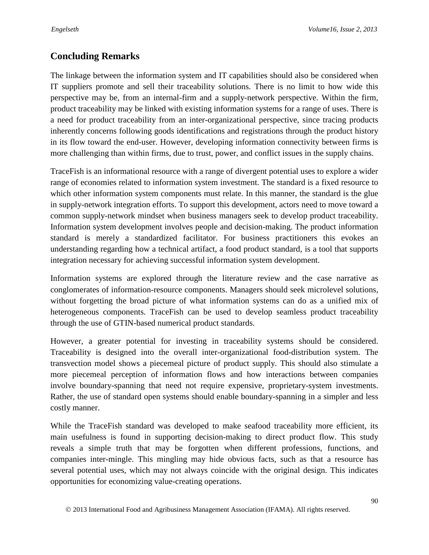# **Concluding Remarks**

The linkage between the information system and IT capabilities should also be considered when IT suppliers promote and sell their traceability solutions. There is no limit to how wide this perspective may be, from an internal-firm and a supply-network perspective. Within the firm, product traceability may be linked with existing information systems for a range of uses. There is a need for product traceability from an inter-organizational perspective, since tracing products inherently concerns following goods identifications and registrations through the product history in its flow toward the end-user. However, developing information connectivity between firms is more challenging than within firms, due to trust, power, and conflict issues in the supply chains.

TraceFish is an informational resource with a range of divergent potential uses to explore a wider range of economies related to information system investment. The standard is a fixed resource to which other information system components must relate. In this manner, the standard is the glue in supply-network integration efforts. To support this development, actors need to move toward a common supply-network mindset when business managers seek to develop product traceability. Information system development involves people and decision-making. The product information standard is merely a standardized facilitator. For business practitioners this evokes an understanding regarding how a technical artifact, a food product standard, is a tool that supports integration necessary for achieving successful information system development.

Information systems are explored through the literature review and the case narrative as conglomerates of information-resource components. Managers should seek microlevel solutions, without forgetting the broad picture of what information systems can do as a unified mix of heterogeneous components. TraceFish can be used to develop seamless product traceability through the use of GTIN-based numerical product standards.

However, a greater potential for investing in traceability systems should be considered. Traceability is designed into the overall inter-organizational food-distribution system. The transvection model shows a piecemeal picture of product supply. This should also stimulate a more piecemeal perception of information flows and how interactions between companies involve boundary-spanning that need not require expensive, proprietary-system investments. Rather, the use of standard open systems should enable boundary-spanning in a simpler and less costly manner.

While the TraceFish standard was developed to make seafood traceability more efficient, its main usefulness is found in supporting decision-making to direct product flow. This study reveals a simple truth that may be forgotten when different professions, functions, and companies inter-mingle. This mingling may hide obvious facts, such as that a resource has several potential uses, which may not always coincide with the original design. This indicates opportunities for economizing value-creating operations.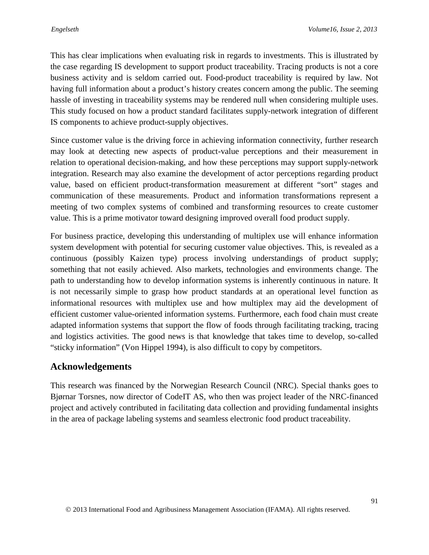This has clear implications when evaluating risk in regards to investments. This is illustrated by the case regarding IS development to support product traceability. Tracing products is not a core business activity and is seldom carried out. Food-product traceability is required by law. Not having full information about a product's history creates concern among the public. The seeming hassle of investing in traceability systems may be rendered null when considering multiple uses. This study focused on how a product standard facilitates supply-network integration of different IS components to achieve product-supply objectives.

Since customer value is the driving force in achieving information connectivity, further research may look at detecting new aspects of product-value perceptions and their measurement in relation to operational decision-making, and how these perceptions may support supply-network integration. Research may also examine the development of actor perceptions regarding product value, based on efficient product-transformation measurement at different "sort" stages and communication of these measurements. Product and information transformations represent a meeting of two complex systems of combined and transforming resources to create customer value. This is a prime motivator toward designing improved overall food product supply.

For business practice, developing this understanding of multiplex use will enhance information system development with potential for securing customer value objectives. This, is revealed as a continuous (possibly Kaizen type) process involving understandings of product supply; something that not easily achieved. Also markets, technologies and environments change. The path to understanding how to develop information systems is inherently continuous in nature. It is not necessarily simple to grasp how product standards at an operational level function as informational resources with multiplex use and how multiplex may aid the development of efficient customer value-oriented information systems. Furthermore, each food chain must create adapted information systems that support the flow of foods through facilitating tracking, tracing and logistics activities. The good news is that knowledge that takes time to develop, so-called "sticky information" (Von Hippel 1994), is also difficult to copy by competitors.

### **Acknowledgements**

This research was financed by the Norwegian Research Council (NRC). Special thanks goes to Bjørnar Torsnes, now director of CodeIT AS, who then was project leader of the NRC-financed project and actively contributed in facilitating data collection and providing fundamental insights in the area of package labeling systems and seamless electronic food product traceability.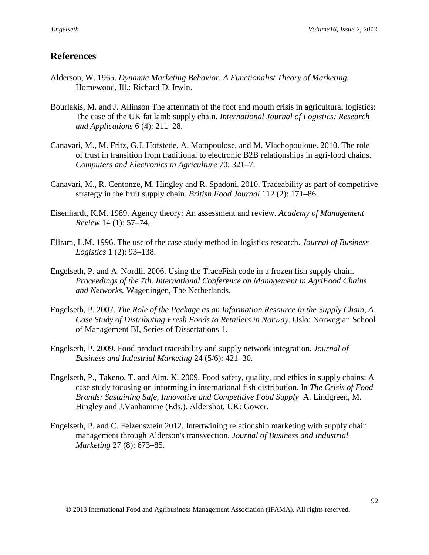## **References**

- Alderson, W. 1965. *Dynamic Marketing Behavior. A Functionalist Theory of Marketing.* Homewood, Ill.: Richard D. Irwin.
- Bourlakis, M. and J. Allinson The aftermath of the foot and mouth crisis in agricultural logistics: The case of the UK fat lamb supply chain. *International Journal of Logistics: Research and Applications* 6 (4): 211–28.
- Canavari, M., M. Fritz, G.J. Hofstede, A. Matopoulose, and M. Vlachopouloue. 2010. The role of trust in transition from traditional to electronic B2B relationships in agri-food chains. *Computers and Electronics in Agriculture* 70: 321–7.
- Canavari, M., R. Centonze, M. Hingley and R. Spadoni. 2010. Traceability as part of competitive strategy in the fruit supply chain. *British Food Journal* 112 (2): 171–86.
- Eisenhardt, K.M. 1989. Agency theory: An assessment and review. *Academy of Management Review* 14 (1): 57–74.
- Ellram, L.M. 1996. The use of the case study method in logistics research. *Journal of Business Logistics* 1 (2): 93–138.
- Engelseth, P. and A. Nordli. 2006. Using the TraceFish code in a frozen fish supply chain. *Proceedings of the 7th. International Conference on Management in AgriFood Chains and Networks.* Wageningen, The Netherlands.
- Engelseth, P. 2007. *The Role of the Package as an Information Resource in the Supply Chain, A Case Study of Distributing Fresh Foods to Retailers in Norway.* Oslo: Norwegian School of Management BI, Series of Dissertations 1.
- Engelseth, P. 2009. Food product traceability and supply network integration. *Journal of Business and Industrial Marketing* 24 (5/6): 421–30.
- Engelseth, P., Takeno, T. and Alm, K. 2009. Food safety, quality, and ethics in supply chains: A case study focusing on informing in international fish distribution. In *The Crisis of Food Brands: Sustaining Safe, Innovative and Competitive Food Supply* A. Lindgreen, M. Hingley and J.Vanhamme (Eds.). Aldershot, UK: Gower.
- Engelseth, P. and C. Felzensztein 2012. Intertwining relationship marketing with supply chain management through Alderson's transvection. *Journal of Business and Industrial Marketing* 27 (8): 673–85.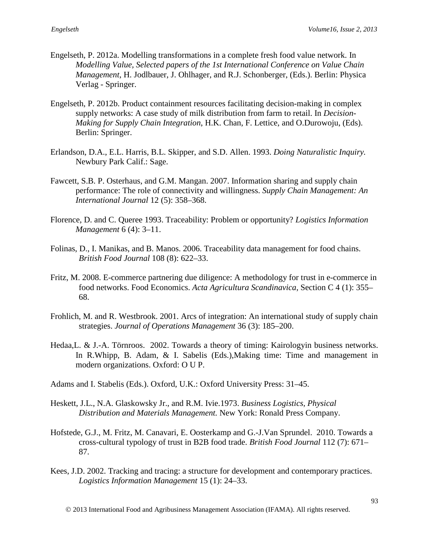- Engelseth, P. 2012a. Modelling transformations in a complete fresh food value network. In *Modelling Value, Selected papers of the 1st International Conference on Value Chain Management*, H. Jodlbauer, J. Ohlhager, and R.J. Schonberger, (Eds.). Berlin: Physica Verlag - Springer.
- Engelseth, P. 2012b. Product containment resources facilitating decision-making in complex supply networks: A case study of milk distribution from farm to retail. In *Decision-Making for Supply Chain Integration*, H.K. Chan, F. Lettice, and O.Durowoju, (Eds). Berlin: Springer.
- Erlandson, D.A., E.L. Harris, B.L. Skipper, and S.D. Allen. 1993. *Doing Naturalistic Inquiry.*  Newbury Park Calif.: Sage.
- Fawcett, S.B. P. Osterhaus, and G.M. Mangan. 2007. Information sharing and supply chain performance: The role of connectivity and willingness. *Supply Chain Management: An International Journal* 12 (5): 358–368.
- Florence, D. and C. Queree 1993. Traceability: Problem or opportunity? *Logistics Information Management* 6 (4): 3–11.
- Folinas, D., I. Manikas, and B. Manos. 2006. Traceability data management for food chains. *British Food Journal* 108 (8): 622–33.
- Fritz, M. 2008. E-commerce partnering due diligence: A methodology for trust in e-commerce in food networks. Food Economics. *Acta Agricultura Scandinavica*, Section C 4 (1): 355– 68.
- Frohlich, M. and R. Westbrook. 2001. Arcs of integration: An international study of supply chain strategies. *Journal of Operations Management* 36 (3): 185–200.
- Hedaa,L. & J.-A. Törnroos. 2002. Towards a theory of timing: Kairologyin business networks. In R.Whipp, B. Adam, & I. Sabelis (Eds.), Making time: Time and management in modern organizations. Oxford: O U P.
- Adams and I. Stabelis (Eds.). Oxford, U.K.: Oxford University Press: 31–45.
- Heskett, J.L., N.A. Glaskowsky Jr., and R.M. Ivie.1973. *Business Logistics, Physical Distribution and Materials Management.* New York: Ronald Press Company.
- Hofstede, G.J., M. Fritz, M. Canavari, E. Oosterkamp and G.-J.Van Sprundel. 2010. Towards a cross-cultural typology of trust in B2B food trade. *British Food Journal* 112 (7): 671– 87.
- Kees, J.D. 2002. Tracking and tracing: a structure for development and contemporary practices. *Logistics Information Management* 15 (1): 24–33.

2013 International Food and Agribusiness Management Association (IFAMA). All rights reserved.